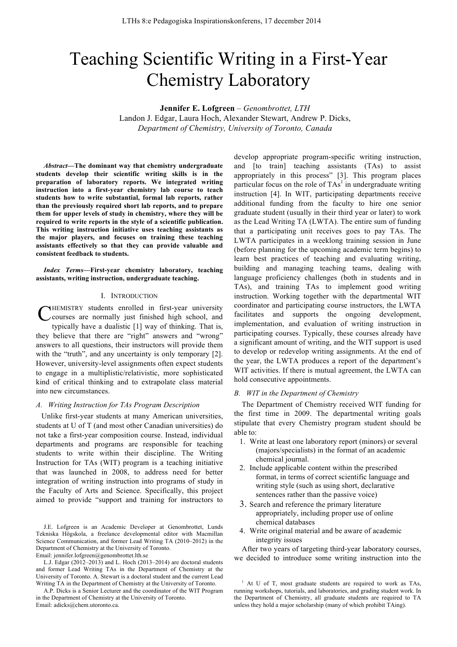# Teaching Scientific Writing in a First-Year Chemistry Laboratory

**Jennifer E. Lofgreen** – *Genombrottet, LTH*

Landon J. Edgar, Laura Hoch, Alexander Stewart, Andrew P. Dicks, *Department of Chemistry, University of Toronto, Canada*

*Abstract***—The dominant way that chemistry undergraduate students develop their scientific writing skills is in the preparation of laboratory reports. We integrated writing instruction into a first-year chemistry lab course to teach students how to write substantial, formal lab reports, rather than the previously required short lab reports, and to prepare them for upper levels of study in chemistry, where they will be required to write reports in the style of a scientific publication. This writing instruction initiative uses teaching assistants as the major players, and focuses on training these teaching assistants effectively so that they can provide valuable and consistent feedback to students.**

## *Index Terms***—First-year chemistry laboratory, teaching assistants, writing instruction, undergraduate teaching.**

#### I. INTRODUCTION

CHEMISTRY students enrolled in first-year university<br>Courses are normally just finished high school, and courses are normally just finished high school, and typically have a dualistic [1] way of thinking. That is, they believe that there are "right" answers and "wrong" answers to all questions, their instructors will provide them with the "truth", and any uncertainty is only temporary [2]. However, university-level assignments often expect students to engage in a multiplistic/relativistic, more sophisticated kind of critical thinking and to extrapolate class material into new circumstances.

#### *A. Writing Instruction for TAs Program Description*

Unlike first-year students at many American universities, students at U of T (and most other Canadian universities) do not take a first-year composition course. Instead, individual departments and programs are responsible for teaching students to write within their discipline. The Writing Instruction for TAs (WIT) program is a teaching initiative that was launched in 2008, to address need for better integration of writing instruction into programs of study in the Faculty of Arts and Science. Specifically, this project aimed to provide "support and training for instructors to

J.E. Lofgreen is an Academic Developer at Genombrottet, Lunds Tekniska Högskola, a freelance developmental editor with Macmillan Science Communication, and former Lead Writing TA (2010–2012) in the Department of Chemistry at the University of Toronto.

Email: jennifer.lofgreen@genombrottet.lth.se

develop appropriate program-specific writing instruction, and [to train] teaching assistants (TAs) to assist appropriately in this process" [3]. This program places particular focus on the role of  $TAs<sup>1</sup>$  in undergraduate writing instruction [4]. In WIT, participating departments receive additional funding from the faculty to hire one senior graduate student (usually in their third year or later) to work as the Lead Writing TA (LWTA). The entire sum of funding that a participating unit receives goes to pay TAs. The LWTA participates in a weeklong training session in June (before planning for the upcoming academic term begins) to learn best practices of teaching and evaluating writing, building and managing teaching teams, dealing with language proficiency challenges (both in students and in TAs), and training TAs to implement good writing instruction. Working together with the departmental WIT coordinator and participating course instructors, the LWTA facilitates and supports the ongoing development, implementation, and evaluation of writing instruction in participating courses. Typically, these courses already have a significant amount of writing, and the WIT support is used to develop or redevelop writing assignments. At the end of the year, the LWTA produces a report of the department's WIT activities. If there is mutual agreement, the LWTA can hold consecutive appointments.

### *B. WIT in the Department of Chemistry*

The Department of Chemistry received WIT funding for the first time in 2009. The departmental writing goals stipulate that every Chemistry program student should be able to:

- 1. Write at least one laboratory report (minors) or several (majors/specialists) in the format of an academic chemical journal.
- 2. Include applicable content within the prescribed format, in terms of correct scientific language and writing style (such as using short, declarative sentences rather than the passive voice)
- 3. Search and reference the primary literature appropriately, including proper use of online chemical databases
- 4. Write original material and be aware of academic integrity issues

After two years of targeting third-year laboratory courses, we decided to introduce some writing instruction into the

L.J. Edgar (2012–2013) and L. Hoch (2013–2014) are doctoral students and former Lead Writing TAs in the Department of Chemistry at the University of Toronto. A. Stewart is a doctoral student and the current Lead Writing TA in the Department of Chemistry at the University of Toronto.

A.P. Dicks is a Senior Lecturer and the coordinator of the WIT Program in the Department of Chemistry at the University of Toronto. Email: adicks@chem.utoronto.ca.

<sup>&</sup>lt;sup>1</sup> At U of T, most graduate students are required to work as TAs, running workshops, tutorials, and laboratories, and grading student work. In the Department of Chemistry, all graduate students are required to TA unless they hold a major scholarship (many of which prohibit TAing).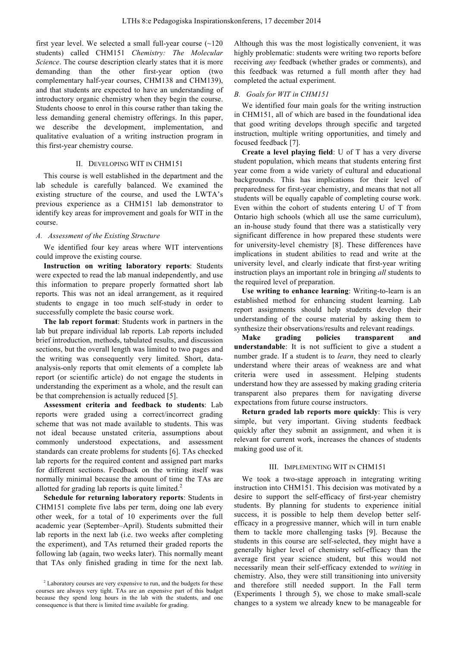first year level. We selected a small full-year course  $(-120)$ students) called CHM151 *Chemistry: The Molecular Science*. The course description clearly states that it is more demanding than the other first-year option (two complementary half-year courses, CHM138 and CHM139), and that students are expected to have an understanding of introductory organic chemistry when they begin the course. Students choose to enrol in this course rather than taking the less demanding general chemistry offerings. In this paper, we describe the development, implementation, and qualitative evaluation of a writing instruction program in this first-year chemistry course.

# II. DEVELOPING WIT IN CHM151

This course is well established in the department and the lab schedule is carefully balanced. We examined the existing structure of the course, and used the LWTA's previous experience as a CHM151 lab demonstrator to identify key areas for improvement and goals for WIT in the course.

#### *A. Assessment of the Existing Structure*

We identified four key areas where WIT interventions could improve the existing course.

**Instruction on writing laboratory reports**: Students were expected to read the lab manual independently, and use this information to prepare properly formatted short lab reports. This was not an ideal arrangement, as it required students to engage in too much self-study in order to successfully complete the basic course work.

**The lab report format**: Students work in partners in the lab but prepare individual lab reports. Lab reports included brief introduction, methods, tabulated results, and discussion sections, but the overall length was limited to two pages and the writing was consequently very limited. Short, dataanalysis-only reports that omit elements of a complete lab report (or scientific article) do not engage the students in understanding the experiment as a whole, and the result can be that comprehension is actually reduced [5].

**Assessment criteria and feedback to students**: Lab reports were graded using a correct/incorrect grading scheme that was not made available to students. This was not ideal because unstated criteria, assumptions about commonly understood expectations, and assessment standards can create problems for students [6]. TAs checked lab reports for the required content and assigned part marks for different sections. Feedback on the writing itself was normally minimal because the amount of time the TAs are allotted for grading lab reports is quite limited.<sup>2</sup>

**Schedule for returning laboratory reports**: Students in CHM151 complete five labs per term, doing one lab every other week, for a total of 10 experiments over the full academic year (September–April). Students submitted their lab reports in the next lab (i.e. two weeks after completing the experiment), and TAs returned their graded reports the following lab (again, two weeks later). This normally meant that TAs only finished grading in time for the next lab.

Although this was the most logistically convenient, it was highly problematic: students were writing two reports before receiving *any* feedback (whether grades or comments), and this feedback was returned a full month after they had completed the actual experiment.

## *B. Goals for WIT in CHM151*

We identified four main goals for the writing instruction in CHM151, all of which are based in the foundational idea that good writing develops through specific and targeted instruction, multiple writing opportunities, and timely and focused feedback [7].

**Create a level playing field**: U of T has a very diverse student population, which means that students entering first year come from a wide variety of cultural and educational backgrounds. This has implications for their level of preparedness for first-year chemistry, and means that not all students will be equally capable of completing course work. Even within the cohort of students entering U of T from Ontario high schools (which all use the same curriculum), an in-house study found that there was a statistically very significant difference in how prepared these students were for university-level chemistry [8]. These differences have implications in student abilities to read and write at the university level, and clearly indicate that first-year writing instruction plays an important role in bringing *all* students to the required level of preparation.

**Use writing to enhance learning**: Writing-to-learn is an established method for enhancing student learning. Lab report assignments should help students develop their understanding of the course material by asking them to synthesize their observations/results and relevant readings.

**Make grading policies transparent and understandable**: It is not sufficient to give a student a number grade. If a student is to *learn*, they need to clearly understand where their areas of weakness are and what criteria were used in assessment. Helping students understand how they are assessed by making grading criteria transparent also prepares them for navigating diverse expectations from future course instructors.

**Return graded lab reports more quickly**: This is very simple, but very important. Giving students feedback quickly after they submit an assignment, and when it is relevant for current work, increases the chances of students making good use of it.

## III. IMPLEMENTING WIT IN CHM151

We took a two-stage approach in integrating writing instruction into CHM151. This decision was motivated by a desire to support the self-efficacy of first-year chemistry students. By planning for students to experience initial success, it is possible to help them develop better selfefficacy in a progressive manner, which will in turn enable them to tackle more challenging tasks [9]. Because the students in this course are self-selected, they might have a generally higher level of chemistry self-efficacy than the average first year science student, but this would not necessarily mean their self-efficacy extended to *writing* in chemistry. Also, they were still transitioning into university and therefore still needed support. In the Fall term (Experiments 1 through 5), we chose to make small-scale changes to a system we already knew to be manageable for

<sup>&</sup>lt;sup>2</sup> Laboratory courses are very expensive to run, and the budgets for these courses are always very tight. TAs are an expensive part of this budget because they spend long hours in the lab with the students, and one consequence is that there is limited time available for grading.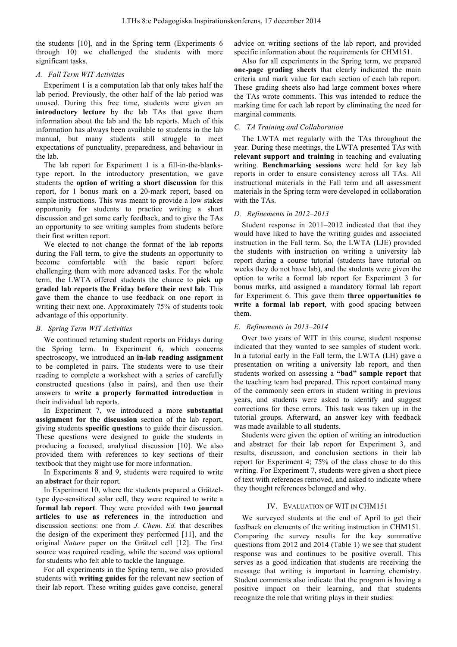the students [10], and in the Spring term (Experiments 6 through 10) we challenged the students with more significant tasks.

# *A. Fall Term WIT Activities*

Experiment 1 is a computation lab that only takes half the lab period. Previously, the other half of the lab period was unused. During this free time, students were given an **introductory lecture** by the lab TAs that gave them information about the lab and the lab reports. Much of this information has always been available to students in the lab manual, but many students still struggle to meet expectations of punctuality, preparedness, and behaviour in the lab.

The lab report for Experiment 1 is a fill-in-the-blankstype report. In the introductory presentation, we gave students the **option of writing a short discussion** for this report, for 1 bonus mark on a 20-mark report, based on simple instructions. This was meant to provide a low stakes opportunity for students to practice writing a short discussion and get some early feedback, and to give the TAs an opportunity to see writing samples from students before their first written report.

We elected to not change the format of the lab reports during the Fall term, to give the students an opportunity to become comfortable with the basic report before challenging them with more advanced tasks. For the whole term, the LWTA offered students the chance to **pick up graded lab reports the Friday before their next lab**. This gave them the chance to use feedback on one report in writing their next one. Approximately 75% of students took advantage of this opportunity.

# *B. Spring Term WIT Activities*

We continued returning student reports on Fridays during the Spring term. In Experiment 6, which concerns spectroscopy, we introduced an **in-lab reading assignment** to be completed in pairs. The students were to use their reading to complete a worksheet with a series of carefully constructed questions (also in pairs), and then use their answers to **write a properly formatted introduction** in their individual lab reports.

In Experiment 7, we introduced a more **substantial assignment for the discussion** section of the lab report, giving students **specific questions** to guide their discussion. These questions were designed to guide the students in producing a focused, analytical discussion [10]. We also provided them with references to key sections of their textbook that they might use for more information.

In Experiments 8 and 9, students were required to write an **abstract** for their report.

In Experiment 10, where the students prepared a Grätzeltype dye-sensitized solar cell, they were required to write a **formal lab report**. They were provided with **two journal articles to use as references** in the introduction and discussion sections: one from *J. Chem. Ed.* that describes the design of the experiment they performed [11], and the original *Nature* paper on the Grätzel cell [12]. The first source was required reading, while the second was optional for students who felt able to tackle the language.

For all experiments in the Spring term, we also provided students with **writing guides** for the relevant new section of their lab report. These writing guides gave concise, general advice on writing sections of the lab report, and provided specific information about the requirements for CHM151.

Also for all experiments in the Spring term, we prepared **one-page grading sheets** that clearly indicated the main criteria and mark value for each section of each lab report. These grading sheets also had large comment boxes where the TAs wrote comments. This was intended to reduce the marking time for each lab report by eliminating the need for marginal comments.

# *C. TA Training and Collaboration*

The LWTA met regularly with the TAs throughout the year. During these meetings, the LWTA presented TAs with **relevant support and training** in teaching and evaluating writing. **Benchmarking sessions** were held for key lab reports in order to ensure consistency across all TAs. All instructional materials in the Fall term and all assessment materials in the Spring term were developed in collaboration with the TAs.

# *D. Refinements in 2012–2013*

Student response in 2011–2012 indicated that that they would have liked to have the writing guides and associated instruction in the Fall term. So, the LWTA (LJE) provided the students with instruction on writing a university lab report during a course tutorial (students have tutorial on weeks they do not have lab), and the students were given the option to write a formal lab report for Experiment 3 for bonus marks, and assigned a mandatory formal lab report for Experiment 6. This gave them **three opportunities to write a formal lab report**, with good spacing between them.

# *E. Refinements in 2013–2014*

Over two years of WIT in this course, student response indicated that they wanted to see samples of student work. In a tutorial early in the Fall term, the LWTA (LH) gave a presentation on writing a university lab report, and then students worked on assessing a **"bad" sample report** that the teaching team had prepared. This report contained many of the commonly seen errors in student writing in previous years, and students were asked to identify and suggest corrections for these errors. This task was taken up in the tutorial groups. Afterward, an answer key with feedback was made available to all students.

Students were given the option of writing an introduction and abstract for their lab report for Experiment 3, and results, discussion, and conclusion sections in their lab report for Experiment 4; 75% of the class chose to do this writing. For Experiment 7, students were given a short piece of text with references removed, and asked to indicate where they thought references belonged and why.

## IV. EVALUATION OF WIT IN CHM151

We surveyed students at the end of April to get their feedback on elements of the writing instruction in CHM151. Comparing the survey results for the key summative questions from 2012 and 2014 (Table 1) we see that student response was and continues to be positive overall. This serves as a good indication that students are receiving the message that writing is important in learning chemistry. Student comments also indicate that the program is having a positive impact on their learning, and that students recognize the role that writing plays in their studies: